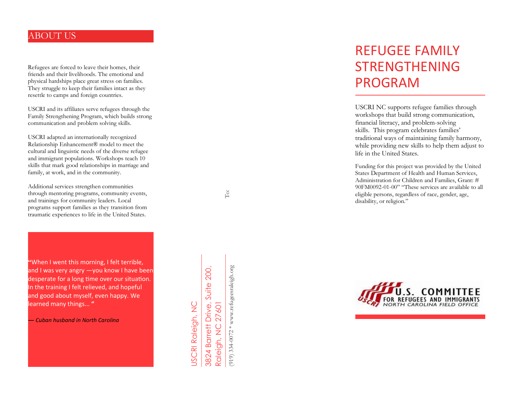### ABOUT US

Refugees are forced to leave their homes, their friends and their livelihoods. The emotional and physical hardships place great stress on families. They struggle to keep their families intact as they resettle to camps and foreign countries.

USCRI and its affiliates serve refugees through the Family Strengthening Program, which builds strong communication and problem solving skills.

USCRI adapted an internationally recognized Relationship Enhancement® model to meet the cultural and linguistic needs of the diverse refugee and immigrant populations. Workshops teach 10 skills that mark good relationships in marriage and family, at work, and in the community.

Additional services strengthen communities through mentoring programs, community events, and trainings for community leaders. Local programs support families as they transition from traumatic experiences to life in the United States.

**"**When I went this morning, I felt terrible, and I was very angry —you know I have been desperate for a long time over our situation. In the training I felt relieved, and hopeful and good about myself, even happy. We learned many things... **"**

*— Cuban husband in North Carolina*

3824 Barrett Drive, Suite 200, Suite 200, 27601 JSCRI Raleigh, NC 3824 Barrett Drive, USCRI Raleigh, NC Raleigh, NC 27601 Raleigh, NC

919) 334-0072 \* www.refugeesraleigh.org (919) 334-0072 \* www.refugeesraleigh.org

# REFUGEE FAMILY STRENGTHENING PROGRAM

USCRI NC supports refugee families through workshops that build strong communication, financial literacy, and problem-solving skills. This program celebrates families' traditional ways of maintaining family harmony, while providing new skills to help them adjust to life in the United States.

Funding for this project was provided by the United States Department of Health and Human Services, Administration for Children and Families, Grant: # 90FM0092-01-00" "These services are available to all eligible persons, regardless of race, gender, age, disability, or religion."



Refugees.org/northcarolina Email: RMufandaedza@uscrinc.org

To: